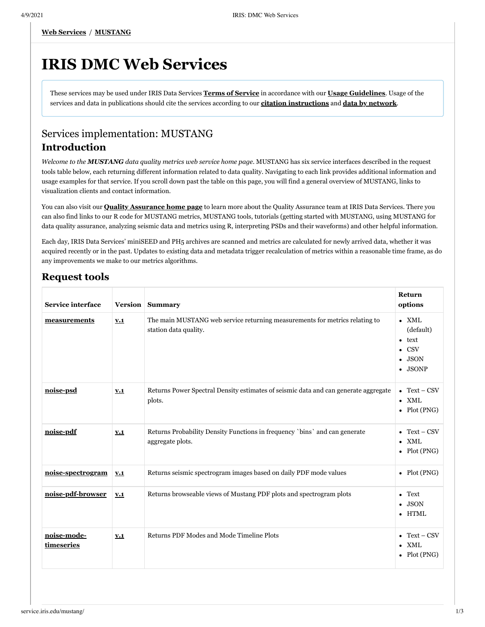# **IRIS DMC Web Services**

These services may be used under IRIS Data Services **[Terms of Service](http://ds.iris.edu/ds/nodes/dmc/terms-of-service/)** in accordance with our **[Usage Guidelines](http://ds.iris.edu/ds/nodes/dmc/services/usage/)**. Usage of the services and data in publications should cite the services according to our **[citation instructions](https://www.iris.edu/hq/iris_citations)** and **[data by network](http://www.fdsn.org/networks/citation/)**.

# Services implementation: MUSTANG **Introduction**

*Welcome to the MUSTANG data quality metrics web service home page.* MUSTANG has six service interfaces described in the request tools table below, each returning different information related to data quality. Navigating to each link provides additional information and usage examples for that service. If you scroll down past the table on this page, you will find a general overview of MUSTANG, links to visualization clients and contact information.

You can also visit our **[Quality Assurance home page](http://ds.iris.edu/ds/nodes/dmc/quality-assurance/)** to learn more about the Quality Assurance team at IRIS Data Services. There you can also find links to our R code for MUSTANG metrics, MUSTANG tools, tutorials (getting started with MUSTANG, using MUSTANG for data quality assurance, analyzing seismic data and metrics using R, interpreting PSDs and their waveforms) and other helpful information.

Each day, IRIS Data Services' miniSEED and PH5 archives are scanned and metrics are calculated for newly arrived data, whether it was acquired recently or in the past. Updates to existing data and metadata trigger recalculation of metrics within a reasonable time frame, as do any improvements we make to our metrics algorithms.

# **Request tools**

| Service interface         |     | Version Summary                                                                                      | Return<br>options                                                                                       |
|---------------------------|-----|------------------------------------------------------------------------------------------------------|---------------------------------------------------------------------------------------------------------|
| measurements              | V.1 | The main MUSTANG web service returning measurements for metrics relating to<br>station data quality. | $\bullet$ XML<br>(default)<br>text<br>$\bullet$<br><b>CSV</b><br>$\bullet$<br>$\bullet$ JSON<br>• JSONP |
| noise-psd                 | V.1 | Returns Power Spectral Density estimates of seismic data and can generate aggregate<br>plots.        | • Text – $CSV$<br>$\bullet$ XML<br>• Plot $(PNG)$                                                       |
| noise-pdf                 | V.1 | Returns Probability Density Functions in frequency `bins` and can generate<br>aggregate plots.       | Text – CSV<br>$\bullet$ XML<br>• $Plot(PNG)$                                                            |
| noise-spectrogram         | V.1 | Returns seismic spectrogram images based on daily PDF mode values                                    | • $Plot(PNG)$                                                                                           |
| noise-pdf-browser         | V.1 | Returns browseable views of Mustang PDF plots and spectrogram plots                                  | Text<br>$\bullet$<br>$\bullet$ JSON<br>• HTML                                                           |
| noise-mode-<br>timeseries | V.1 | Returns PDF Modes and Mode Timeline Plots                                                            | • Text – $CSV$<br>$\bullet$ XML<br>Plot (PNG)                                                           |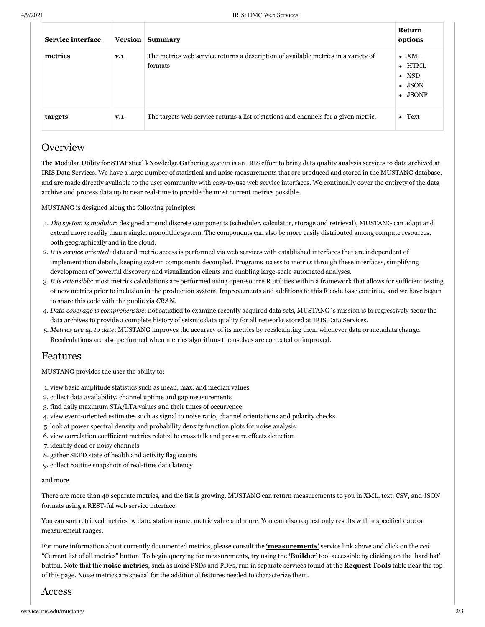| Service interface |            | <b>Version</b> Summary                                                                        | Return<br>options                                                                     |
|-------------------|------------|-----------------------------------------------------------------------------------------------|---------------------------------------------------------------------------------------|
| metrics           | <u>v.1</u> | The metrics web service returns a description of available metrics in a variety of<br>formats | $\bullet$ XML<br>$\bullet$ HTML<br>$\bullet$ XSD<br>$\bullet$ JSON<br>$\bullet$ JSONP |
| <u>targets</u>    | <u>v.1</u> | The targets web service returns a list of stations and channels for a given metric.           | $\bullet$ Text                                                                        |

# **Overview**

The **M**odular **U**tility for **STA**tistical k**N**owledge **G**athering system is an IRIS effort to bring data quality analysis services to data archived at IRIS Data Services. We have a large number of statistical and noise measurements that are produced and stored in the MUSTANG database, and are made directly available to the user community with easy-to-use web service interfaces. We continually cover the entirety of the data archive and process data up to near real-time to provide the most current metrics possible.

MUSTANG is designed along the following principles:

- 1. *The system is modular*: designed around discrete components (scheduler, calculator, storage and retrieval), MUSTANG can adapt and extend more readily than a single, monolithic system. The components can also be more easily distributed among compute resources, both geographically and in the cloud.
- 2. *It is service oriented*: data and metric access is performed via web services with established interfaces that are independent of implementation details, keeping system components decoupled. Programs access to metrics through these interfaces, simplifying development of powerful discovery and visualization clients and enabling large-scale automated analyses.
- 3. *It is extensible*: most metrics calculations are performed using open-source R utilities within a framework that allows for sufficient testing of new metrics prior to inclusion in the production system. Improvements and additions to this R code base continue, and we have begun to share this code with the public via *CRAN*.
- 4. *Data coverage is comprehensive*: not satisfied to examine recently acquired data sets, MUSTANG`s mission is to regressively scour the data archives to provide a complete history of seismic data quality for all networks stored at IRIS Data Services.
- 5. *Metrics are up to date*: MUSTANG improves the accuracy of its metrics by recalculating them whenever data or metadata change. Recalculations are also performed when metrics algorithms themselves are corrected or improved.

# Features

MUSTANG provides the user the ability to:

- 1. view basic amplitude statistics such as mean, max, and median values
- 2. collect data availability, channel uptime and gap measurements
- 3. find daily maximum STA/LTA values and their times of occurrence
- 4. view event-oriented estimates such as signal to noise ratio, channel orientations and polarity checks
- 5. look at power spectral density and probability density function plots for noise analysis
- 6. view correlation coefficient metrics related to cross talk and pressure effects detection
- 7. identify dead or noisy channels
- 8. gather SEED state of health and activity flag counts
- 9. collect routine snapshots of real-time data latency

#### and more.

There are more than 40 separate metrics, and the list is growing. MUSTANG can return measurements to you in XML, text, CSV, and JSON formats using a REST-ful web service interface.

You can sort retrieved metrics by date, station name, metric value and more. You can also request only results within specified date or measurement ranges.

For more information about currently documented metrics, please consult the **['measurements'](http://service.iris.edu/mustang/measurements/1)** service link above and click on the *red* "Current list of all metrics" button. To begin querying for measurements, try using the **['Builder'](http://service.iris.edu/mustang/measurements/docs/1/builder/)** tool accessible by clicking on the 'hard hat' button. Note that the **noise metrics**, such as noise PSDs and PDFs, run in separate services found at the **Request Tools** table near the top of this page. Noise metrics are special for the additional features needed to characterize them.

## Access